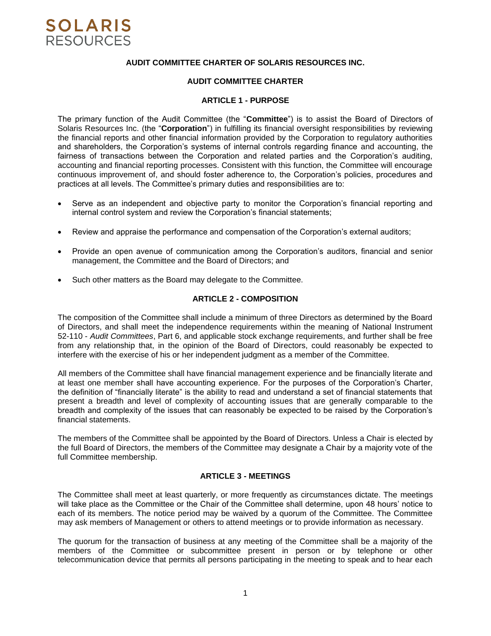## **AUDIT COMMITTEE CHARTER OF SOLARIS RESOURCES INC.**

## **AUDIT COMMITTEE CHARTER**

### **ARTICLE 1 - PURPOSE**

The primary function of the Audit Committee (the "**Committee**") is to assist the Board of Directors of Solaris Resources Inc. (the "**Corporation**") in fulfilling its financial oversight responsibilities by reviewing the financial reports and other financial information provided by the Corporation to regulatory authorities and shareholders, the Corporation's systems of internal controls regarding finance and accounting, the fairness of transactions between the Corporation and related parties and the Corporation's auditing, accounting and financial reporting processes. Consistent with this function, the Committee will encourage continuous improvement of, and should foster adherence to, the Corporation's policies, procedures and practices at all levels. The Committee's primary duties and responsibilities are to:

- Serve as an independent and objective party to monitor the Corporation's financial reporting and internal control system and review the Corporation's financial statements;
- Review and appraise the performance and compensation of the Corporation's external auditors;
- Provide an open avenue of communication among the Corporation's auditors, financial and senior management, the Committee and the Board of Directors; and
- Such other matters as the Board may delegate to the Committee.

## **ARTICLE 2 - COMPOSITION**

The composition of the Committee shall include a minimum of three Directors as determined by the Board of Directors, and shall meet the independence requirements within the meaning of National Instrument 52-110 - *Audit Committees*, Part 6, and applicable stock exchange requirements, and further shall be free from any relationship that, in the opinion of the Board of Directors, could reasonably be expected to interfere with the exercise of his or her independent judgment as a member of the Committee.

All members of the Committee shall have financial management experience and be financially literate and at least one member shall have accounting experience. For the purposes of the Corporation's Charter, the definition of "financially literate" is the ability to read and understand a set of financial statements that present a breadth and level of complexity of accounting issues that are generally comparable to the breadth and complexity of the issues that can reasonably be expected to be raised by the Corporation's financial statements.

The members of the Committee shall be appointed by the Board of Directors. Unless a Chair is elected by the full Board of Directors, the members of the Committee may designate a Chair by a majority vote of the full Committee membership.

# **ARTICLE 3 - MEETINGS**

The Committee shall meet at least quarterly, or more frequently as circumstances dictate. The meetings will take place as the Committee or the Chair of the Committee shall determine, upon 48 hours' notice to each of its members. The notice period may be waived by a quorum of the Committee. The Committee may ask members of Management or others to attend meetings or to provide information as necessary.

The quorum for the transaction of business at any meeting of the Committee shall be a majority of the members of the Committee or subcommittee present in person or by telephone or other telecommunication device that permits all persons participating in the meeting to speak and to hear each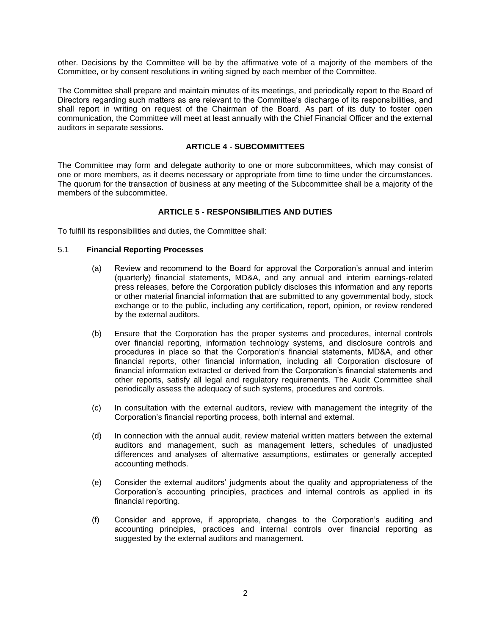other. Decisions by the Committee will be by the affirmative vote of a majority of the members of the Committee, or by consent resolutions in writing signed by each member of the Committee.

The Committee shall prepare and maintain minutes of its meetings, and periodically report to the Board of Directors regarding such matters as are relevant to the Committee's discharge of its responsibilities, and shall report in writing on request of the Chairman of the Board. As part of its duty to foster open communication, the Committee will meet at least annually with the Chief Financial Officer and the external auditors in separate sessions.

#### **ARTICLE 4 - SUBCOMMITTEES**

The Committee may form and delegate authority to one or more subcommittees, which may consist of one or more members, as it deems necessary or appropriate from time to time under the circumstances. The quorum for the transaction of business at any meeting of the Subcommittee shall be a majority of the members of the subcommittee.

# **ARTICLE 5 - RESPONSIBILITIES AND DUTIES**

To fulfill its responsibilities and duties, the Committee shall:

## 5.1 **Financial Reporting Processes**

- (a) Review and recommend to the Board for approval the Corporation's annual and interim (quarterly) financial statements, MD&A, and any annual and interim earnings-related press releases, before the Corporation publicly discloses this information and any reports or other material financial information that are submitted to any governmental body, stock exchange or to the public, including any certification, report, opinion, or review rendered by the external auditors.
- (b) Ensure that the Corporation has the proper systems and procedures, internal controls over financial reporting, information technology systems, and disclosure controls and procedures in place so that the Corporation's financial statements, MD&A, and other financial reports, other financial information, including all Corporation disclosure of financial information extracted or derived from the Corporation's financial statements and other reports, satisfy all legal and regulatory requirements. The Audit Committee shall periodically assess the adequacy of such systems, procedures and controls.
- (c) In consultation with the external auditors, review with management the integrity of the Corporation's financial reporting process, both internal and external.
- (d) In connection with the annual audit, review material written matters between the external auditors and management, such as management letters, schedules of unadjusted differences and analyses of alternative assumptions, estimates or generally accepted accounting methods.
- (e) Consider the external auditors' judgments about the quality and appropriateness of the Corporation's accounting principles, practices and internal controls as applied in its financial reporting.
- (f) Consider and approve, if appropriate, changes to the Corporation's auditing and accounting principles, practices and internal controls over financial reporting as suggested by the external auditors and management.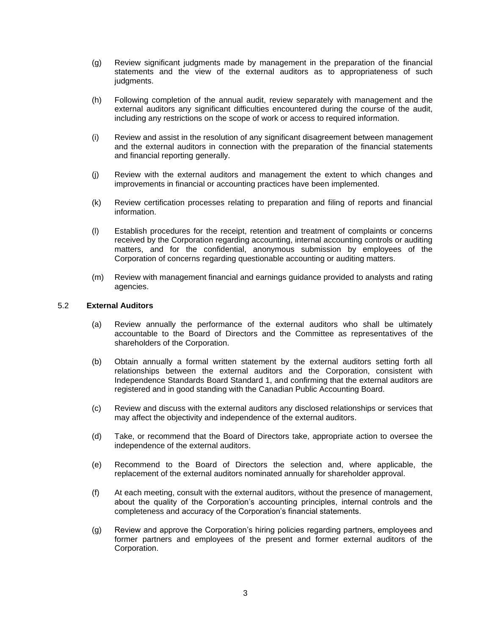- (g) Review significant judgments made by management in the preparation of the financial statements and the view of the external auditors as to appropriateness of such judgments.
- (h) Following completion of the annual audit, review separately with management and the external auditors any significant difficulties encountered during the course of the audit, including any restrictions on the scope of work or access to required information.
- (i) Review and assist in the resolution of any significant disagreement between management and the external auditors in connection with the preparation of the financial statements and financial reporting generally.
- (j) Review with the external auditors and management the extent to which changes and improvements in financial or accounting practices have been implemented.
- (k) Review certification processes relating to preparation and filing of reports and financial information.
- (l) Establish procedures for the receipt, retention and treatment of complaints or concerns received by the Corporation regarding accounting, internal accounting controls or auditing matters, and for the confidential, anonymous submission by employees of the Corporation of concerns regarding questionable accounting or auditing matters.
- (m) Review with management financial and earnings guidance provided to analysts and rating agencies.

#### 5.2 **External Auditors**

- (a) Review annually the performance of the external auditors who shall be ultimately accountable to the Board of Directors and the Committee as representatives of the shareholders of the Corporation.
- (b) Obtain annually a formal written statement by the external auditors setting forth all relationships between the external auditors and the Corporation, consistent with Independence Standards Board Standard 1, and confirming that the external auditors are registered and in good standing with the Canadian Public Accounting Board.
- (c) Review and discuss with the external auditors any disclosed relationships or services that may affect the objectivity and independence of the external auditors.
- (d) Take, or recommend that the Board of Directors take, appropriate action to oversee the independence of the external auditors.
- (e) Recommend to the Board of Directors the selection and, where applicable, the replacement of the external auditors nominated annually for shareholder approval.
- (f) At each meeting, consult with the external auditors, without the presence of management, about the quality of the Corporation's accounting principles, internal controls and the completeness and accuracy of the Corporation's financial statements.
- (g) Review and approve the Corporation's hiring policies regarding partners, employees and former partners and employees of the present and former external auditors of the Corporation.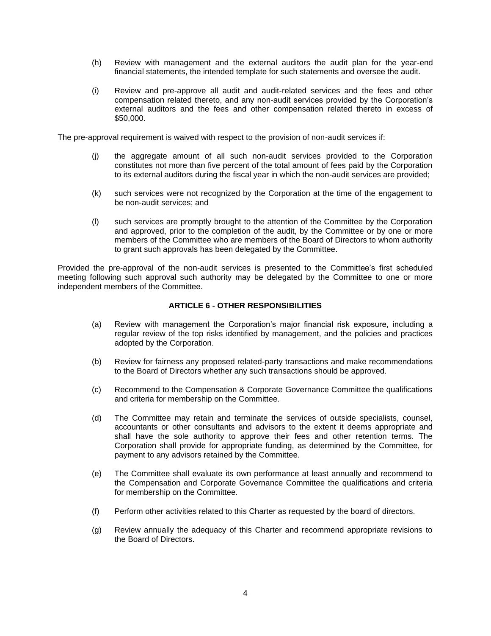- (h) Review with management and the external auditors the audit plan for the year-end financial statements, the intended template for such statements and oversee the audit.
- (i) Review and pre-approve all audit and audit-related services and the fees and other compensation related thereto, and any non-audit services provided by the Corporation's external auditors and the fees and other compensation related thereto in excess of \$50,000.

The pre-approval requirement is waived with respect to the provision of non-audit services if:

- (j) the aggregate amount of all such non-audit services provided to the Corporation constitutes not more than five percent of the total amount of fees paid by the Corporation to its external auditors during the fiscal year in which the non-audit services are provided;
- (k) such services were not recognized by the Corporation at the time of the engagement to be non-audit services; and
- (l) such services are promptly brought to the attention of the Committee by the Corporation and approved, prior to the completion of the audit, by the Committee or by one or more members of the Committee who are members of the Board of Directors to whom authority to grant such approvals has been delegated by the Committee.

Provided the pre-approval of the non-audit services is presented to the Committee's first scheduled meeting following such approval such authority may be delegated by the Committee to one or more independent members of the Committee.

## **ARTICLE 6 - OTHER RESPONSIBILITIES**

- (a) Review with management the Corporation's major financial risk exposure, including a regular review of the top risks identified by management, and the policies and practices adopted by the Corporation.
- (b) Review for fairness any proposed related-party transactions and make recommendations to the Board of Directors whether any such transactions should be approved.
- (c) Recommend to the Compensation & Corporate Governance Committee the qualifications and criteria for membership on the Committee.
- (d) The Committee may retain and terminate the services of outside specialists, counsel, accountants or other consultants and advisors to the extent it deems appropriate and shall have the sole authority to approve their fees and other retention terms. The Corporation shall provide for appropriate funding, as determined by the Committee, for payment to any advisors retained by the Committee.
- (e) The Committee shall evaluate its own performance at least annually and recommend to the Compensation and Corporate Governance Committee the qualifications and criteria for membership on the Committee.
- (f) Perform other activities related to this Charter as requested by the board of directors.
- (g) Review annually the adequacy of this Charter and recommend appropriate revisions to the Board of Directors.